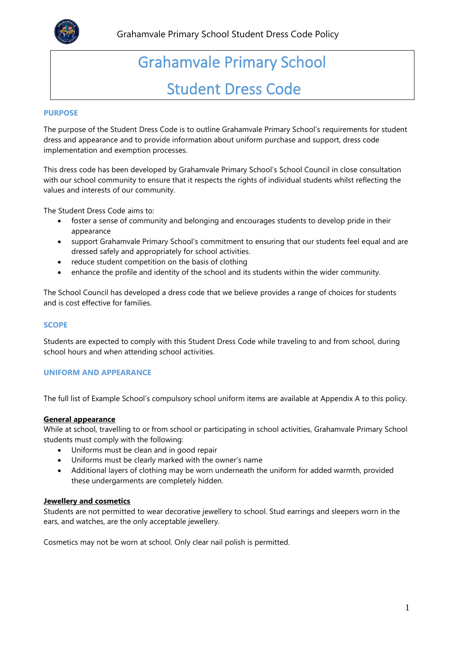

# Grahamvale Primary School Student Dress Code

# **PURPOSE**

The purpose of the Student Dress Code is to outline Grahamvale Primary School's requirements for student dress and appearance and to provide information about uniform purchase and support, dress code implementation and exemption processes.

This dress code has been developed by Grahamvale Primary School's School Council in close consultation with our school community to ensure that it respects the rights of individual students whilst reflecting the values and interests of our community.

The Student Dress Code aims to:

- foster a sense of community and belonging and encourages students to develop pride in their appearance
- support Grahamvale Primary School's commitment to ensuring that our students feel equal and are dressed safely and appropriately for school activities.
- reduce student competition on the basis of clothing
- enhance the profile and identity of the school and its students within the wider community.

The School Council has developed a dress code that we believe provides a range of choices for students and is cost effective for families.

## **SCOPE**

Students are expected to comply with this Student Dress Code while traveling to and from school, during school hours and when attending school activities.

## **UNIFORM AND APPEARANCE**

The full list of Example School's compulsory school uniform items are available at Appendix A to this policy.

## **General appearance**

While at school, travelling to or from school or participating in school activities, Grahamvale Primary School students must comply with the following:

- Uniforms must be clean and in good repair
- Uniforms must be clearly marked with the owner's name
- Additional layers of clothing may be worn underneath the uniform for added warmth, provided these undergarments are completely hidden.

## **Jewellery and cosmetics**

Students are not permitted to wear decorative jewellery to school. Stud earrings and sleepers worn in the ears, and watches, are the only acceptable jewellery.

Cosmetics may not be worn at school. Only clear nail polish is permitted.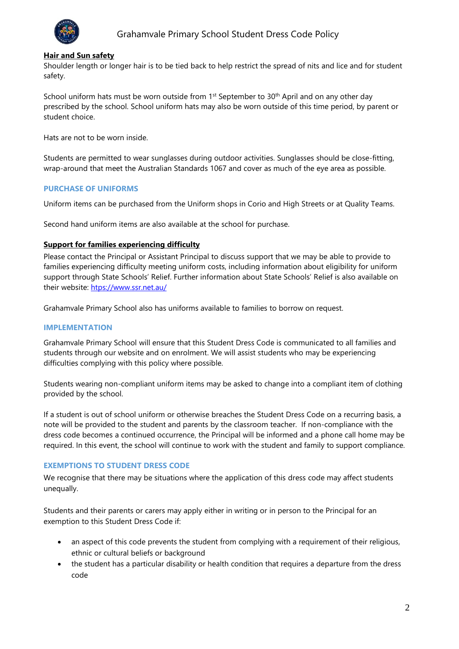

# **Hair and Sun safety**

Shoulder length or longer hair is to be tied back to help restrict the spread of nits and lice and for student safety.

School uniform hats must be worn outside from  $1<sup>st</sup>$  September to  $30<sup>th</sup>$  April and on any other day prescribed by the school. School uniform hats may also be worn outside of this time period, by parent or student choice.

Hats are not to be worn inside.

Students are permitted to wear sunglasses during outdoor activities. Sunglasses should be close-fitting, wrap-around that meet the Australian Standards 1067 and cover as much of the eye area as possible.

# **PURCHASE OF UNIFORMS**

Uniform items can be purchased from the Uniform shops in Corio and High Streets or at Quality Teams.

Second hand uniform items are also available at the school for purchase.

# **Support for families experiencing difficulty**

Please contact the Principal or Assistant Principal to discuss support that we may be able to provide to families experiencing difficulty meeting uniform costs, including information about eligibility for uniform support through State Schools' Relief. Further information about State Schools' Relief is also available on their website: [htps://www.ssr.net.au/](https://www.ssr.net.au/)

Grahamvale Primary School also has uniforms available to families to borrow on request.

## **IMPLEMENTATION**

Grahamvale Primary School will ensure that this Student Dress Code is communicated to all families and students through our website and on enrolment. We will assist students who may be experiencing difficulties complying with this policy where possible.

Students wearing non-compliant uniform items may be asked to change into a compliant item of clothing provided by the school.

If a student is out of school uniform or otherwise breaches the Student Dress Code on a recurring basis, a note will be provided to the student and parents by the classroom teacher. If non-compliance with the dress code becomes a continued occurrence, the Principal will be informed and a phone call home may be required. In this event, the school will continue to work with the student and family to support compliance.

## **EXEMPTIONS TO STUDENT DRESS CODE**

We recognise that there may be situations where the application of this dress code may affect students unequally.

Students and their parents or carers may apply either in writing or in person to the Principal for an exemption to this Student Dress Code if:

- an aspect of this code prevents the student from complying with a requirement of their religious, ethnic or cultural beliefs or background
- the student has a particular disability or health condition that requires a departure from the dress code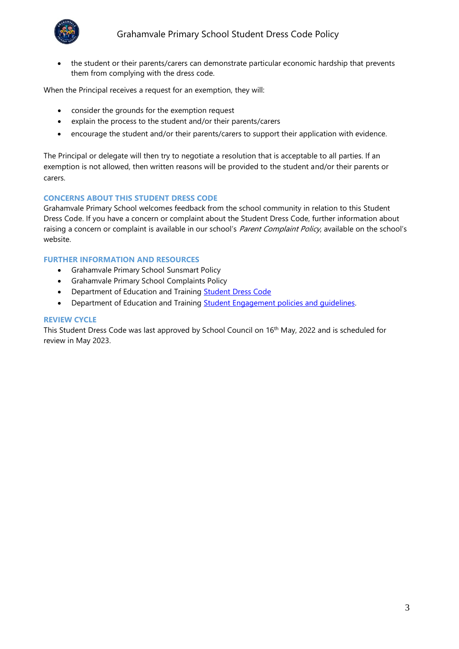

• the student or their parents/carers can demonstrate particular economic hardship that prevents them from complying with the dress code.

When the Principal receives a request for an exemption, they will:

- consider the grounds for the exemption request
- explain the process to the student and/or their parents/carers
- encourage the student and/or their parents/carers to support their application with evidence.

The Principal or delegate will then try to negotiate a resolution that is acceptable to all parties. If an exemption is not allowed, then written reasons will be provided to the student and/or their parents or carers.

# **CONCERNS ABOUT THIS STUDENT DRESS CODE**

Grahamvale Primary School welcomes feedback from the school community in relation to this Student Dress Code. If you have a concern or complaint about the Student Dress Code, further information about raising a concern or complaint is available in our school's Parent Complaint Policy, available on the school's website.

# **FURTHER INFORMATION AND RESOURCES**

- Grahamvale Primary School Sunsmart Policy
- Grahamvale Primary School Complaints Policy
- Department of Education and Training **Student Dress Code**
- Department of Education and Training **Student Engagement policies and quidelines**.

# **REVIEW CYCLE**

This Student Dress Code was last approved by School Council on 16<sup>th</sup> May, 2022 and is scheduled for review in May 2023.